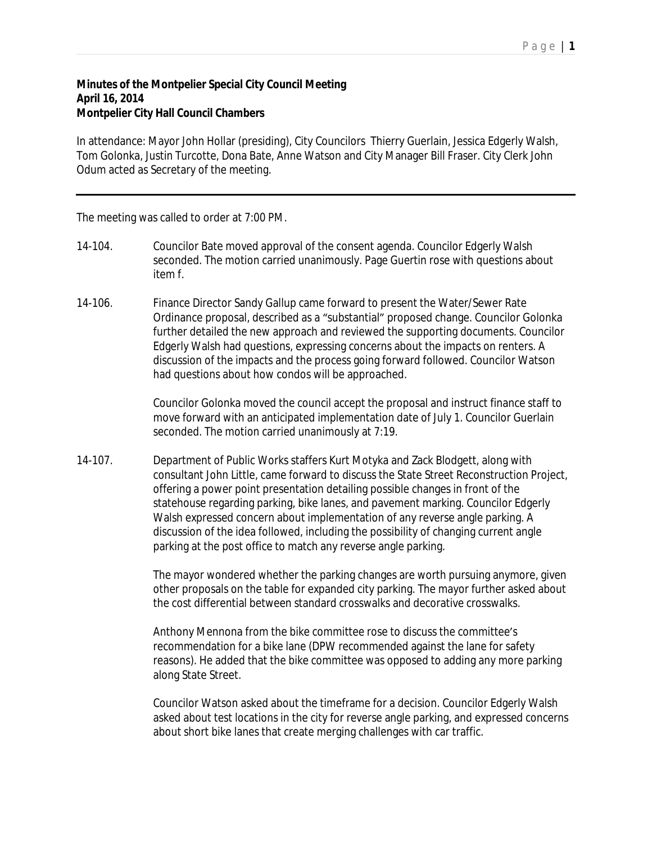## **Minutes of the Montpelier Special City Council Meeting April 16, 2014 Montpelier City Hall Council Chambers**

In attendance: Mayor John Hollar (presiding), City Councilors Thierry Guerlain, Jessica Edgerly Walsh, Tom Golonka, Justin Turcotte, Dona Bate, Anne Watson and City Manager Bill Fraser. City Clerk John Odum acted as Secretary of the meeting.

The meeting was called to order at 7:00 PM.

- 14-104. Councilor Bate moved approval of the consent agenda. Councilor Edgerly Walsh seconded. The motion carried unanimously. Page Guertin rose with questions about item f.
- 14-106. Finance Director Sandy Gallup came forward to present the Water/Sewer Rate Ordinance proposal, described as a "substantial" proposed change. Councilor Golonka further detailed the new approach and reviewed the supporting documents. Councilor Edgerly Walsh had questions, expressing concerns about the impacts on renters. A discussion of the impacts and the process going forward followed. Councilor Watson had questions about how condos will be approached.

Councilor Golonka moved the council accept the proposal and instruct finance staff to move forward with an anticipated implementation date of July 1. Councilor Guerlain seconded. The motion carried unanimously at 7:19.

14-107. Department of Public Works staffers Kurt Motyka and Zack Blodgett, along with consultant John Little, came forward to discuss the State Street Reconstruction Project, offering a power point presentation detailing possible changes in front of the statehouse regarding parking, bike lanes, and pavement marking. Councilor Edgerly Walsh expressed concern about implementation of any reverse angle parking. A discussion of the idea followed, including the possibility of changing current angle parking at the post office to match any reverse angle parking.

> The mayor wondered whether the parking changes are worth pursuing anymore, given other proposals on the table for expanded city parking. The mayor further asked about the cost differential between standard crosswalks and decorative crosswalks.

Anthony Mennona from the bike committee rose to discuss the committee's recommendation for a bike lane (DPW recommended against the lane for safety reasons). He added that the bike committee was opposed to adding any more parking along State Street.

Councilor Watson asked about the timeframe for a decision. Councilor Edgerly Walsh asked about test locations in the city for reverse angle parking, and expressed concerns about short bike lanes that create merging challenges with car traffic.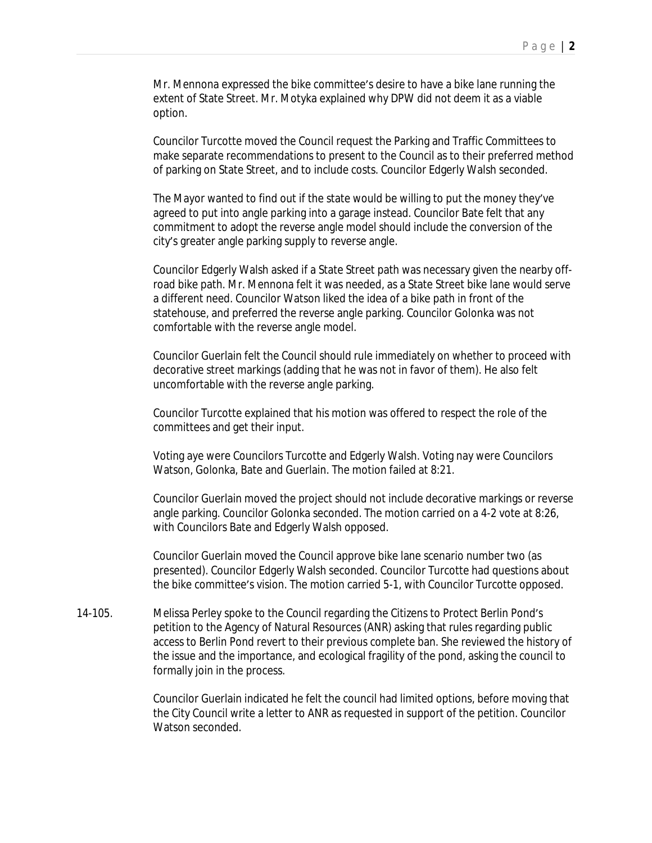Mr. Mennona expressed the bike committee's desire to have a bike lane running the extent of State Street. Mr. Motyka explained why DPW did not deem it as a viable option.

Councilor Turcotte moved the Council request the Parking and Traffic Committees to make separate recommendations to present to the Council as to their preferred method of parking on State Street, and to include costs. Councilor Edgerly Walsh seconded.

The Mayor wanted to find out if the state would be willing to put the money they've agreed to put into angle parking into a garage instead. Councilor Bate felt that any commitment to adopt the reverse angle model should include the conversion of the city's greater angle parking supply to reverse angle.

Councilor Edgerly Walsh asked if a State Street path was necessary given the nearby offroad bike path. Mr. Mennona felt it was needed, as a State Street bike lane would serve a different need. Councilor Watson liked the idea of a bike path in front of the statehouse, and preferred the reverse angle parking. Councilor Golonka was not comfortable with the reverse angle model.

Councilor Guerlain felt the Council should rule immediately on whether to proceed with decorative street markings (adding that he was not in favor of them). He also felt uncomfortable with the reverse angle parking.

Councilor Turcotte explained that his motion was offered to respect the role of the committees and get their input.

Voting aye were Councilors Turcotte and Edgerly Walsh. Voting nay were Councilors Watson, Golonka, Bate and Guerlain. The motion failed at 8:21.

Councilor Guerlain moved the project should not include decorative markings or reverse angle parking. Councilor Golonka seconded. The motion carried on a 4-2 vote at 8:26, with Councilors Bate and Edgerly Walsh opposed.

Councilor Guerlain moved the Council approve bike lane scenario number two (as presented). Councilor Edgerly Walsh seconded. Councilor Turcotte had questions about the bike committee's vision. The motion carried 5-1, with Councilor Turcotte opposed.

14-105. Melissa Perley spoke to the Council regarding the Citizens to Protect Berlin Pond's petition to the Agency of Natural Resources (ANR) asking that rules regarding public access to Berlin Pond revert to their previous complete ban. She reviewed the history of the issue and the importance, and ecological fragility of the pond, asking the council to formally join in the process.

> Councilor Guerlain indicated he felt the council had limited options, before moving that the City Council write a letter to ANR as requested in support of the petition. Councilor Watson seconded.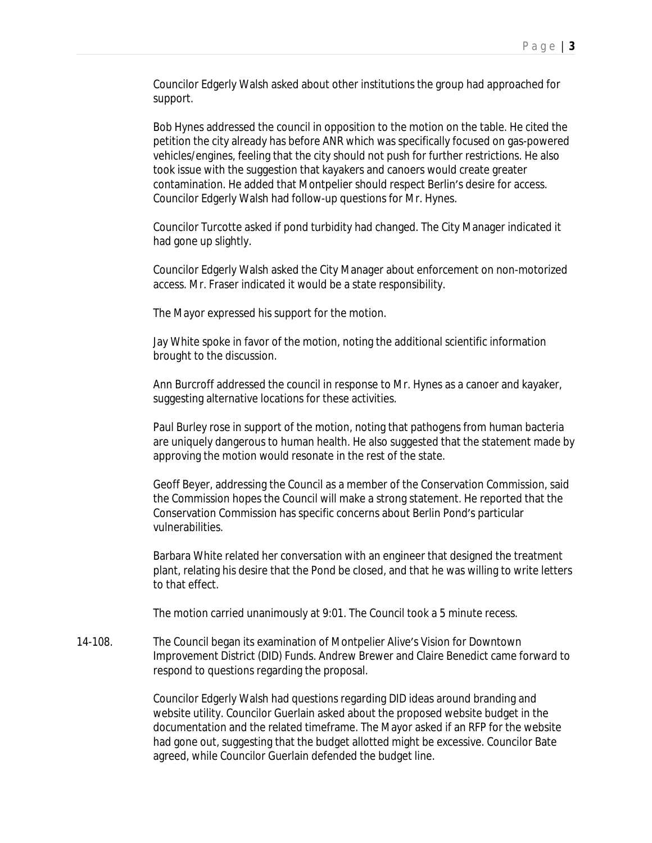Councilor Edgerly Walsh asked about other institutions the group had approached for support.

Bob Hynes addressed the council in opposition to the motion on the table. He cited the petition the city already has before ANR which was specifically focused on gas-powered vehicles/engines, feeling that the city should not push for further restrictions. He also took issue with the suggestion that kayakers and canoers would create greater contamination. He added that Montpelier should respect Berlin's desire for access. Councilor Edgerly Walsh had follow-up questions for Mr. Hynes.

Councilor Turcotte asked if pond turbidity had changed. The City Manager indicated it had gone up slightly.

Councilor Edgerly Walsh asked the City Manager about enforcement on non-motorized access. Mr. Fraser indicated it would be a state responsibility.

The Mayor expressed his support for the motion.

Jay White spoke in favor of the motion, noting the additional scientific information brought to the discussion.

Ann Burcroff addressed the council in response to Mr. Hynes as a canoer and kayaker, suggesting alternative locations for these activities.

Paul Burley rose in support of the motion, noting that pathogens from human bacteria are uniquely dangerous to human health. He also suggested that the statement made by approving the motion would resonate in the rest of the state.

Geoff Beyer, addressing the Council as a member of the Conservation Commission, said the Commission hopes the Council will make a strong statement. He reported that the Conservation Commission has specific concerns about Berlin Pond's particular vulnerabilities.

Barbara White related her conversation with an engineer that designed the treatment plant, relating his desire that the Pond be closed, and that he was willing to write letters to that effect.

The motion carried unanimously at 9:01. The Council took a 5 minute recess.

14-108. The Council began its examination of Montpelier Alive's Vision for Downtown Improvement District (DID) Funds. Andrew Brewer and Claire Benedict came forward to respond to questions regarding the proposal.

> Councilor Edgerly Walsh had questions regarding DID ideas around branding and website utility. Councilor Guerlain asked about the proposed website budget in the documentation and the related timeframe. The Mayor asked if an RFP for the website had gone out, suggesting that the budget allotted might be excessive. Councilor Bate agreed, while Councilor Guerlain defended the budget line.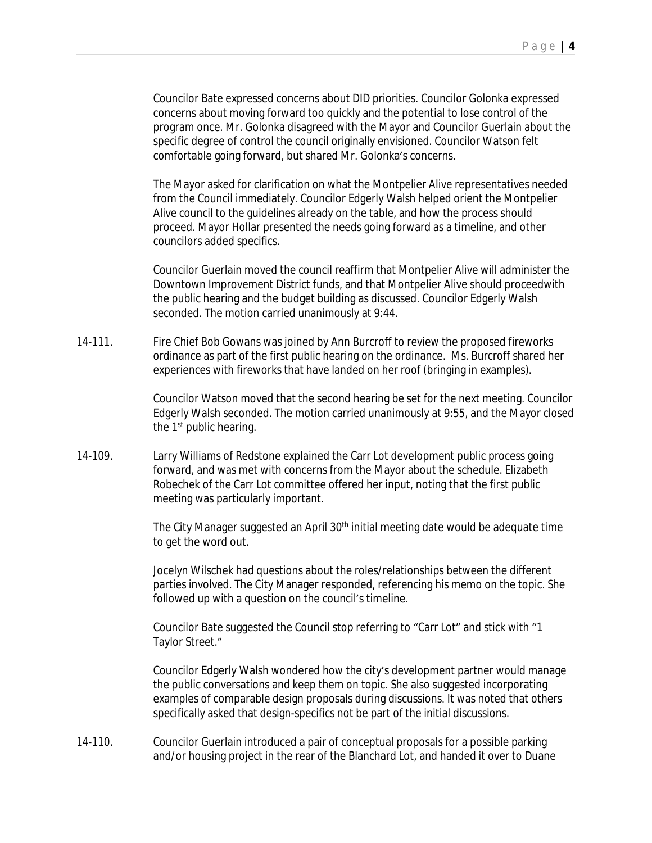Councilor Bate expressed concerns about DID priorities. Councilor Golonka expressed concerns about moving forward too quickly and the potential to lose control of the program once. Mr. Golonka disagreed with the Mayor and Councilor Guerlain about the specific degree of control the council originally envisioned. Councilor Watson felt comfortable going forward, but shared Mr. Golonka's concerns.

The Mayor asked for clarification on what the Montpelier Alive representatives needed from the Council immediately. Councilor Edgerly Walsh helped orient the Montpelier Alive council to the guidelines already on the table, and how the process should proceed. Mayor Hollar presented the needs going forward as a timeline, and other councilors added specifics.

Councilor Guerlain moved the council reaffirm that Montpelier Alive will administer the Downtown Improvement District funds, and that Montpelier Alive should proceedwith the public hearing and the budget building as discussed. Councilor Edgerly Walsh seconded. The motion carried unanimously at 9:44.

14-111. Fire Chief Bob Gowans was joined by Ann Burcroff to review the proposed fireworks ordinance as part of the first public hearing on the ordinance. Ms. Burcroff shared her experiences with fireworks that have landed on her roof (bringing in examples).

> Councilor Watson moved that the second hearing be set for the next meeting. Councilor Edgerly Walsh seconded. The motion carried unanimously at 9:55, and the Mayor closed the 1<sup>st</sup> public hearing.

14-109. Larry Williams of Redstone explained the Carr Lot development public process going forward, and was met with concerns from the Mayor about the schedule. Elizabeth Robechek of the Carr Lot committee offered her input, noting that the first public meeting was particularly important.

> The City Manager suggested an April 30<sup>th</sup> initial meeting date would be adequate time to get the word out.

> Jocelyn Wilschek had questions about the roles/relationships between the different parties involved. The City Manager responded, referencing his memo on the topic. She followed up with a question on the council's timeline.

Councilor Bate suggested the Council stop referring to "Carr Lot" and stick with "1 Taylor Street."

Councilor Edgerly Walsh wondered how the city's development partner would manage the public conversations and keep them on topic. She also suggested incorporating examples of comparable design proposals during discussions. It was noted that others specifically asked that design-specifics not be part of the initial discussions.

14-110. Councilor Guerlain introduced a pair of conceptual proposals for a possible parking and/or housing project in the rear of the Blanchard Lot, and handed it over to Duane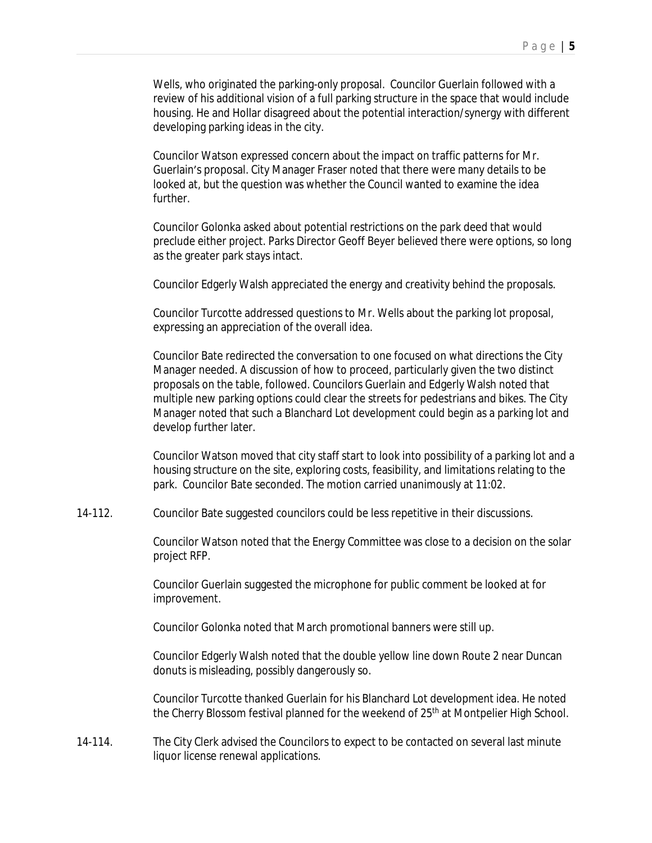Wells, who originated the parking-only proposal. Councilor Guerlain followed with a review of his additional vision of a full parking structure in the space that would include housing. He and Hollar disagreed about the potential interaction/synergy with different developing parking ideas in the city.

Councilor Watson expressed concern about the impact on traffic patterns for Mr. Guerlain's proposal. City Manager Fraser noted that there were many details to be looked at, but the question was whether the Council wanted to examine the idea further.

Councilor Golonka asked about potential restrictions on the park deed that would preclude either project. Parks Director Geoff Beyer believed there were options, so long as the greater park stays intact.

Councilor Edgerly Walsh appreciated the energy and creativity behind the proposals.

Councilor Turcotte addressed questions to Mr. Wells about the parking lot proposal, expressing an appreciation of the overall idea.

Councilor Bate redirected the conversation to one focused on what directions the City Manager needed. A discussion of how to proceed, particularly given the two distinct proposals on the table, followed. Councilors Guerlain and Edgerly Walsh noted that multiple new parking options could clear the streets for pedestrians and bikes. The City Manager noted that such a Blanchard Lot development could begin as a parking lot and develop further later.

Councilor Watson moved that city staff start to look into possibility of a parking lot and a housing structure on the site, exploring costs, feasibility, and limitations relating to the park. Councilor Bate seconded. The motion carried unanimously at 11:02.

14-112. Councilor Bate suggested councilors could be less repetitive in their discussions.

Councilor Watson noted that the Energy Committee was close to a decision on the solar project RFP.

Councilor Guerlain suggested the microphone for public comment be looked at for improvement.

Councilor Golonka noted that March promotional banners were still up.

Councilor Edgerly Walsh noted that the double yellow line down Route 2 near Duncan donuts is misleading, possibly dangerously so.

Councilor Turcotte thanked Guerlain for his Blanchard Lot development idea. He noted the Cherry Blossom festival planned for the weekend of 25<sup>th</sup> at Montpelier High School.

14-114. The City Clerk advised the Councilors to expect to be contacted on several last minute liquor license renewal applications.